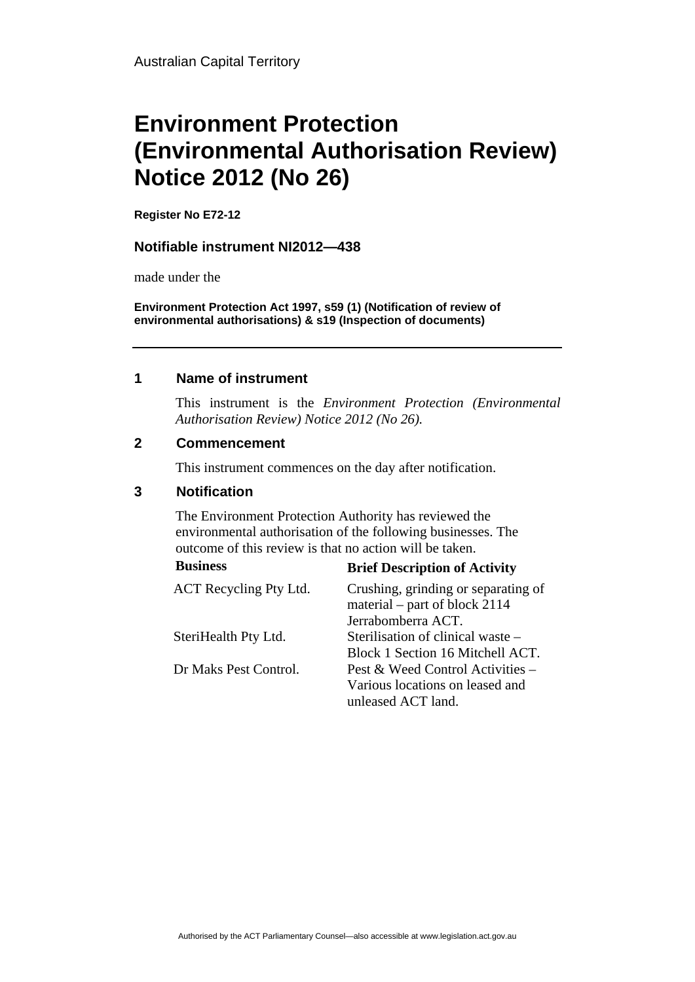# **Environment Protection (Environmental Authorisation Review) Notice 2012 (No 26)**

**Register No E72-12**

#### **Notifiable instrument NI2012—438**

made under the

**Environment Protection Act 1997, s59 (1) (Notification of review of environmental authorisations) & s19 (Inspection of documents)**

#### **1 Name of instrument**

This instrument is the *Environment Protection (Environmental Authorisation Review) Notice 2012 (No 26).* 

#### **2 Commencement**

This instrument commences on the day after notification.

### **3 Notification**

The Environment Protection Authority has reviewed the environmental authorisation of the following businesses. The outcome of this review is that no action will be taken.

| <b>Business</b>        | <b>Brief Description of Activity</b>                                 |
|------------------------|----------------------------------------------------------------------|
| ACT Recycling Pty Ltd. | Crushing, grinding or separating of<br>material – part of block 2114 |
|                        | Jerrabomberra ACT.                                                   |
| SteriHealth Pty Ltd.   | Sterilisation of clinical waste –                                    |
|                        | Block 1 Section 16 Mitchell ACT.                                     |
| Dr Maks Pest Control.  | Pest & Weed Control Activities –                                     |
|                        | Various locations on leased and                                      |
|                        | unleased ACT land.                                                   |